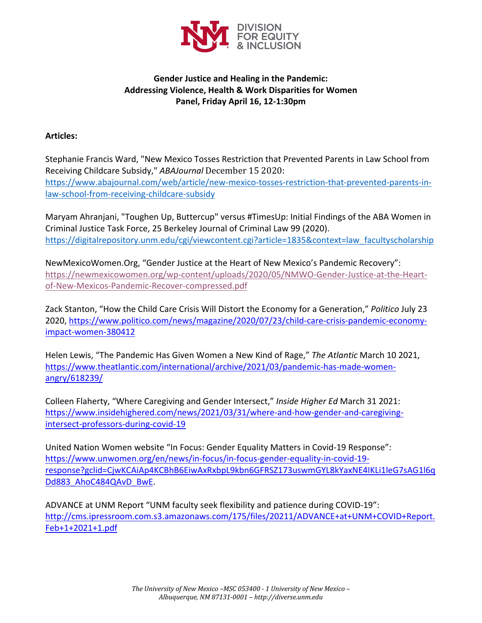

## **Gender Justice and Healing in the Pandemic: Addressing Violence, Health & Work Disparities for Women Panel, Friday April 16, 12-1:30pm**

## **Articles:**

Stephanie Francis Ward, "New Mexico Tosses Restriction that Prevented Parents in Law School from Receiving Childcare Subsidy," *ABAJournal* December 15 2020: https://www.abajournal.com/web/article/new-mexico-tosses-restriction-that-prevented-parents-inlaw-school-from-receiving-childcare-subsidy

Maryam Ahranjani, "Toughen Up, Buttercup" versus #TimesUp: Initial Findings of the ABA Women in Criminal Justice Task Force, 25 Berkeley Journal of Criminal Law 99 (2020). https://digitalrepository.unm.edu/cgi/viewcontent.cgi?article=1835&context=law\_facultyscholarship

NewMexicoWomen.Org, "Gender Justice at the Heart of New Mexico's Pandemic Recovery": https://newmexicowomen.org/wp-content/uploads/2020/05/NMWO-Gender-Justice-at-the-Heartof-New-Mexicos-Pandemic-Recover-compressed.pdf

Zack Stanton, "How the Child Care Crisis Will Distort the Economy for a Generation," *Politico* July 23 2020, https://www.politico.com/news/magazine/2020/07/23/child-care-crisis-pandemic-economyimpact-women-380412

Helen Lewis, "The Pandemic Has Given Women a New Kind of Rage," *The Atlantic* March 10 2021, https://www.theatlantic.com/international/archive/2021/03/pandemic-has-made-womenangry/618239/

Colleen Flaherty, "Where Caregiving and Gender Intersect," *Inside Higher Ed* March 31 2021: https://www.insidehighered.com/news/2021/03/31/where-and-how-gender-and-caregivingintersect-professors-during-covid-19

United Nation Women website "In Focus: Gender Equality Matters in Covid-19 Response": https://www.unwomen.org/en/news/in-focus/in-focus-gender-equality-in-covid-19 response?gclid=CjwKCAiAp4KCBhB6EiwAxRxbpL9kbn6GFRSZ173uswmGYL8kYaxNE4IKLi1leG7sAG1l6q Dd883\_AhoC484QAvD\_BwE.

ADVANCE at UNM Report "UNM faculty seek flexibility and patience during COVID-19": http://cms.ipressroom.com.s3.amazonaws.com/175/files/20211/ADVANCE+at+UNM+COVID+Report. Feb+1+2021+1.pdf